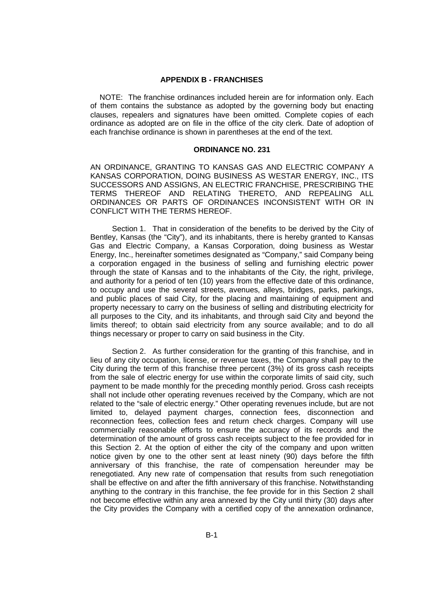## **APPENDIX B - FRANCHISES**

NOTE: The franchise ordinances included herein are for information only. Each of them contains the substance as adopted by the governing body but enacting clauses, repealers and signatures have been omitted. Complete copies of each ordinance as adopted are on file in the office of the city clerk. Date of adoption of each franchise ordinance is shown in parentheses at the end of the text.

## **ORDINANCE NO. 231**

AN ORDINANCE, GRANTING TO KANSAS GAS AND ELECTRIC COMPANY A KANSAS CORPORATION, DOING BUSINESS AS WESTAR ENERGY, INC., ITS SUCCESSORS AND ASSIGNS, AN ELECTRIC FRANCHISE, PRESCRIBING THE TERMS THEREOF AND RELATING THERETO, AND REPEALING ALL ORDINANCES OR PARTS OF ORDINANCES INCONSISTENT WITH OR IN CONFLICT WITH THE TERMS HEREOF.

Section 1. That in consideration of the benefits to be derived by the City of Bentley, Kansas (the "City"), and its inhabitants, there is hereby granted to Kansas Gas and Electric Company, a Kansas Corporation, doing business as Westar Energy, Inc., hereinafter sometimes designated as "Company," said Company being a corporation engaged in the business of selling and furnishing electric power through the state of Kansas and to the inhabitants of the City, the right, privilege, and authority for a period of ten (10) years from the effective date of this ordinance, to occupy and use the several streets, avenues, alleys, bridges, parks, parkings, and public places of said City, for the placing and maintaining of equipment and property necessary to carry on the business of selling and distributing electricity for all purposes to the City, and its inhabitants, and through said City and beyond the limits thereof; to obtain said electricity from any source available; and to do all things necessary or proper to carry on said business in the City.

Section 2. As further consideration for the granting of this franchise, and in lieu of any city occupation, license, or revenue taxes, the Company shall pay to the City during the term of this franchise three percent (3%) of its gross cash receipts from the sale of electric energy for use within the corporate limits of said city, such payment to be made monthly for the preceding monthly period. Gross cash receipts shall not include other operating revenues received by the Company, which are not related to the "sale of electric energy." Other operating revenues include, but are not limited to, delayed payment charges, connection fees, disconnection and reconnection fees, collection fees and return check charges. Company will use commercially reasonable efforts to ensure the accuracy of its records and the determination of the amount of gross cash receipts subject to the fee provided for in this Section 2. At the option of either the city of the company and upon written notice given by one to the other sent at least ninety (90) days before the fifth anniversary of this franchise, the rate of compensation hereunder may be renegotiated. Any new rate of compensation that results from such renegotiation shall be effective on and after the fifth anniversary of this franchise. Notwithstanding anything to the contrary in this franchise, the fee provide for in this Section 2 shall not become effective within any area annexed by the City until thirty (30) days after the City provides the Company with a certified copy of the annexation ordinance,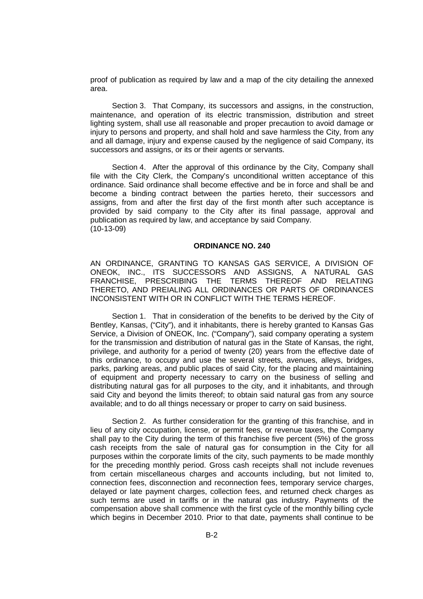proof of publication as required by law and a map of the city detailing the annexed area.

Section 3. That Company, its successors and assigns, in the construction, maintenance, and operation of its electric transmission, distribution and street lighting system, shall use all reasonable and proper precaution to avoid damage or injury to persons and property, and shall hold and save harmless the City, from any and all damage, injury and expense caused by the negligence of said Company, its successors and assigns, or its or their agents or servants.

Section 4. After the approval of this ordinance by the City, Company shall file with the City Clerk, the Company's unconditional written acceptance of this ordinance. Said ordinance shall become effective and be in force and shall be and become a binding contract between the parties hereto, their successors and assigns, from and after the first day of the first month after such acceptance is provided by said company to the City after its final passage, approval and publication as required by law, and acceptance by said Company. (10-13-09)

## **ORDINANCE NO. 240**

AN ORDINANCE, GRANTING TO KANSAS GAS SERVICE, A DIVISION OF ONEOK, INC., ITS SUCCESSORS AND ASSIGNS, A NATURAL GAS FRANCHISE, PRESCRIBING THE TERMS THEREOF AND RELATING THERETO, AND PREIALING ALL ORDINANCES OR PARTS OF ORDINANCES INCONSISTENT WITH OR IN CONFLICT WITH THE TERMS HEREOF.

Section 1. That in consideration of the benefits to be derived by the City of Bentley, Kansas, ("City"), and it inhabitants, there is hereby granted to Kansas Gas Service, a Division of ONEOK, Inc. ("Company"), said company operating a system for the transmission and distribution of natural gas in the State of Kansas, the right, privilege, and authority for a period of twenty (20) years from the effective date of this ordinance, to occupy and use the several streets, avenues, alleys, bridges, parks, parking areas, and public places of said City, for the placing and maintaining of equipment and property necessary to carry on the business of selling and distributing natural gas for all purposes to the city, and it inhabitants, and through said City and beyond the limits thereof; to obtain said natural gas from any source available; and to do all things necessary or proper to carry on said business.

Section 2. As further consideration for the granting of this franchise, and in lieu of any city occupation, license, or permit fees, or revenue taxes, the Company shall pay to the City during the term of this franchise five percent (5%) of the gross cash receipts from the sale of natural gas for consumption in the City for all purposes within the corporate limits of the city, such payments to be made monthly for the preceding monthly period. Gross cash receipts shall not include revenues from certain miscellaneous charges and accounts including, but not limited to, connection fees, disconnection and reconnection fees, temporary service charges, delayed or late payment charges, collection fees, and returned check charges as such terms are used in tariffs or in the natural gas industry. Payments of the compensation above shall commence with the first cycle of the monthly billing cycle which begins in December 2010. Prior to that date, payments shall continue to be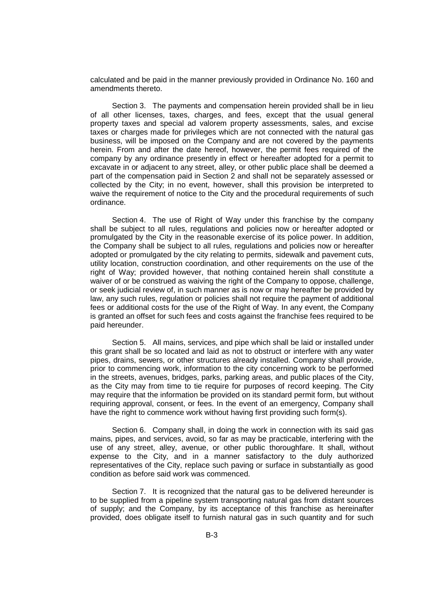calculated and be paid in the manner previously provided in Ordinance No. 160 and amendments thereto.

Section 3. The payments and compensation herein provided shall be in lieu of all other licenses, taxes, charges, and fees, except that the usual general property taxes and special ad valorem property assessments, sales, and excise taxes or charges made for privileges which are not connected with the natural gas business, will be imposed on the Company and are not covered by the payments herein. From and after the date hereof, however, the permit fees required of the company by any ordinance presently in effect or hereafter adopted for a permit to excavate in or adjacent to any street, alley, or other public place shall be deemed a part of the compensation paid in Section 2 and shall not be separately assessed or collected by the City; in no event, however, shall this provision be interpreted to waive the requirement of notice to the City and the procedural requirements of such ordinance.

Section 4. The use of Right of Way under this franchise by the company shall be subject to all rules, regulations and policies now or hereafter adopted or promulgated by the City in the reasonable exercise of its police power. In addition, the Company shall be subject to all rules, regulations and policies now or hereafter adopted or promulgated by the city relating to permits, sidewalk and pavement cuts, utility location, construction coordination, and other requirements on the use of the right of Way; provided however, that nothing contained herein shall constitute a waiver of or be construed as waiving the right of the Company to oppose, challenge, or seek judicial review of, in such manner as is now or may hereafter be provided by law, any such rules, regulation or policies shall not require the payment of additional fees or additional costs for the use of the Right of Way. In any event, the Company is granted an offset for such fees and costs against the franchise fees required to be paid hereunder.

Section 5. All mains, services, and pipe which shall be laid or installed under this grant shall be so located and laid as not to obstruct or interfere with any water pipes, drains, sewers, or other structures already installed. Company shall provide, prior to commencing work, information to the city concerning work to be performed in the streets, avenues, bridges, parks, parking areas, and public places of the City, as the City may from time to tie require for purposes of record keeping. The City may require that the information be provided on its standard permit form, but without requiring approval, consent, or fees. In the event of an emergency, Company shall have the right to commence work without having first providing such form(s).

Section 6. Company shall, in doing the work in connection with its said gas mains, pipes, and services, avoid, so far as may be practicable, interfering with the use of any street, alley, avenue, or other public thoroughfare. It shall, without expense to the City, and in a manner satisfactory to the duly authorized representatives of the City, replace such paving or surface in substantially as good condition as before said work was commenced.

Section 7. It is recognized that the natural gas to be delivered hereunder is to be supplied from a pipeline system transporting natural gas from distant sources of supply; and the Company, by its acceptance of this franchise as hereinafter provided, does obligate itself to furnish natural gas in such quantity and for such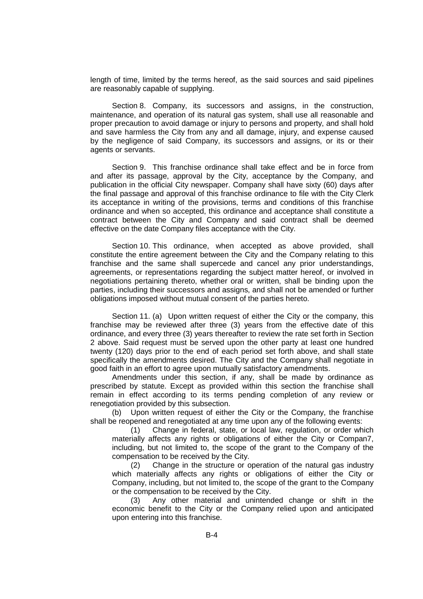length of time, limited by the terms hereof, as the said sources and said pipelines are reasonably capable of supplying.

Section 8. Company, its successors and assigns, in the construction, maintenance, and operation of its natural gas system, shall use all reasonable and proper precaution to avoid damage or injury to persons and property, and shall hold and save harmless the City from any and all damage, injury, and expense caused by the negligence of said Company, its successors and assigns, or its or their agents or servants.

Section 9. This franchise ordinance shall take effect and be in force from and after its passage, approval by the City, acceptance by the Company, and publication in the official City newspaper. Company shall have sixty (60) days after the final passage and approval of this franchise ordinance to file with the City Clerk its acceptance in writing of the provisions, terms and conditions of this franchise ordinance and when so accepted, this ordinance and acceptance shall constitute a contract between the City and Company and said contract shall be deemed effective on the date Company files acceptance with the City.

Section 10. This ordinance, when accepted as above provided, shall constitute the entire agreement between the City and the Company relating to this franchise and the same shall supercede and cancel any prior understandings, agreements, or representations regarding the subject matter hereof, or involved in negotiations pertaining thereto, whether oral or written, shall be binding upon the parties, including their successors and assigns, and shall not be amended or further obligations imposed without mutual consent of the parties hereto.

Section 11. (a) Upon written request of either the City or the company, this franchise may be reviewed after three (3) years from the effective date of this ordinance, and every three (3) years thereafter to review the rate set forth in Section 2 above. Said request must be served upon the other party at least one hundred twenty (120) days prior to the end of each period set forth above, and shall state specifically the amendments desired. The City and the Company shall negotiate in good faith in an effort to agree upon mutually satisfactory amendments.

Amendments under this section, if any, shall be made by ordinance as prescribed by statute. Except as provided within this section the franchise shall remain in effect according to its terms pending completion of any review or renegotiation provided by this subsection.

(b) Upon written request of either the City or the Company, the franchise shall be reopened and renegotiated at any time upon any of the following events:

(1) Change in federal, state, or local law, regulation, or order which materially affects any rights or obligations of either the City or Compan7, including, but not limited to, the scope of the grant to the Company of the compensation to be received by the City.

(2) Change in the structure or operation of the natural gas industry which materially affects any rights or obligations of either the City or Company, including, but not limited to, the scope of the grant to the Company or the compensation to be received by the City.

(3) Any other material and unintended change or shift in the economic benefit to the City or the Company relied upon and anticipated upon entering into this franchise.